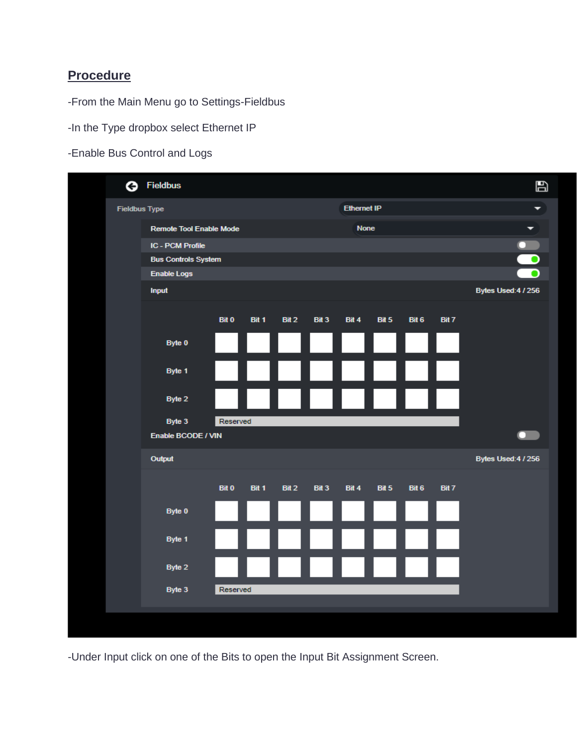## **Procedure**

-From the Main Menu go to Settings-Fieldbus

-In the Type dropbox select Ethernet IP

-Enable Bus Control and Logs

|  | ⊝ | <b>Fieldbus</b>            |              |       |       |                  |       |                    |       |       |                     | $\mathbf{B}$ |
|--|---|----------------------------|--------------|-------|-------|------------------|-------|--------------------|-------|-------|---------------------|--------------|
|  |   | <b>Fieldbus Type</b>       |              |       |       |                  |       | <b>Ethernet IP</b> |       | ▼     |                     |              |
|  |   | Remote Tool Enable Mode    |              |       |       |                  |       | <b>None</b>        | ▼     |       |                     |              |
|  |   | <b>IC - PCM Profile</b>    |              |       |       |                  |       |                    |       |       | $\bullet$           |              |
|  |   | <b>Bus Controls System</b> |              |       |       |                  |       |                    |       |       | $\bullet$           |              |
|  |   | <b>Enable Logs</b>         |              |       |       |                  |       |                    |       |       |                     |              |
|  |   | Input                      |              |       |       |                  |       |                    |       |       | Bytes Used: 4 / 256 |              |
|  |   |                            | <b>Bit 0</b> | Bit 1 | Bit 2 | Bit <sub>3</sub> | Bit 4 | Bit 5              | Bit 6 | Bit 7 |                     |              |
|  |   | Byte 0                     |              |       |       |                  |       |                    |       |       |                     |              |
|  |   | Byte 1                     |              |       |       |                  |       |                    |       |       |                     |              |
|  |   | Byte 2                     |              |       |       |                  |       |                    |       |       |                     |              |
|  |   | Byte 3                     | Reserved     |       |       |                  |       |                    |       |       |                     |              |
|  |   | Enable BCODE / VIN         |              |       |       |                  |       |                    |       |       |                     |              |
|  |   | Output                     |              |       |       |                  |       |                    |       |       | Bytes Used: 4 / 256 |              |
|  |   |                            | <b>Bit 0</b> | Bit 1 | Bit 2 | Bit 3            | Bit 4 | Bit 5              | Bit 6 | Bit 7 |                     |              |
|  |   | Byte 0                     |              |       |       |                  |       |                    |       |       |                     |              |
|  |   | Byte 1                     |              |       |       |                  |       |                    |       |       |                     |              |
|  |   | Byte 2                     |              |       |       |                  |       |                    |       |       |                     |              |
|  |   | Byte 3                     | Reserved     |       |       |                  |       |                    |       |       |                     |              |
|  |   |                            |              |       |       |                  |       |                    |       |       |                     |              |

-Under Input click on one of the Bits to open the Input Bit Assignment Screen.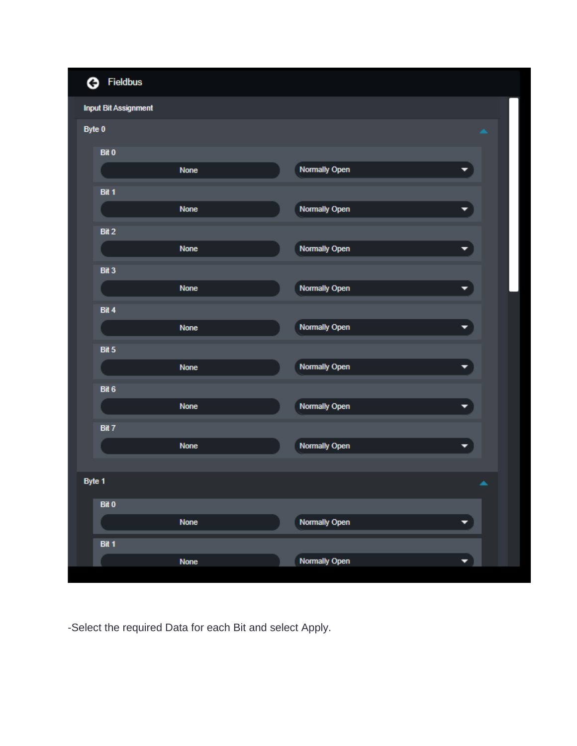|        | <b>3</b> Fieldbus           |             |                      |                          |
|--------|-----------------------------|-------------|----------------------|--------------------------|
|        | <b>Input Bit Assignment</b> |             |                      |                          |
|        | Byte 0                      |             |                      | $\overline{\phantom{a}}$ |
|        | Bit 0                       |             |                      |                          |
|        |                             | <b>None</b> | <b>Normally Open</b> |                          |
|        | Bit 1                       |             |                      |                          |
|        |                             | <b>None</b> | Normally Open        |                          |
|        | Bit 2                       |             |                      |                          |
|        |                             | <b>None</b> | <b>Normally Open</b> | $\overline{\phantom{a}}$ |
|        | Bit 3                       |             |                      |                          |
|        |                             | <b>None</b> | <b>Normally Open</b> | ≂                        |
|        | Bit 4                       |             |                      |                          |
|        |                             | <b>None</b> | <b>Normally Open</b> | ▼                        |
|        | Bit 5                       |             |                      |                          |
|        |                             | <b>None</b> | <b>Normally Open</b> | ▼                        |
|        | Bit 6                       |             |                      |                          |
|        |                             | <b>None</b> | <b>Normally Open</b> | ▼                        |
|        | Bit 7                       |             |                      |                          |
|        |                             | <b>None</b> | <b>Normally Open</b> | ▼                        |
| Byte 1 |                             |             |                      | ▲                        |
|        | Bit 0                       |             |                      |                          |
|        |                             | <b>None</b> | <b>Normally Open</b> | $\blacktriangledown$     |
|        | Bit 1                       |             |                      |                          |
|        |                             | <b>None</b> | <b>Normally Open</b> | ۰                        |
|        |                             |             |                      |                          |

-Select the required Data for each Bit and select Apply.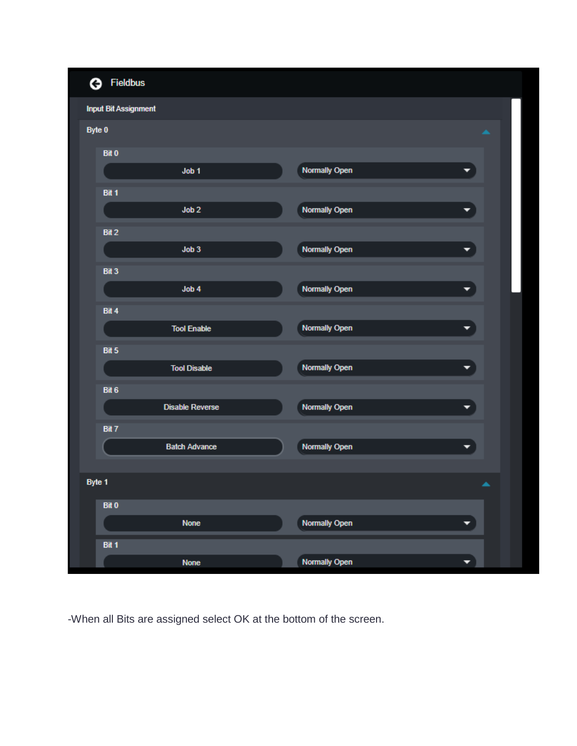

-When all Bits are assigned select OK at the bottom of the screen.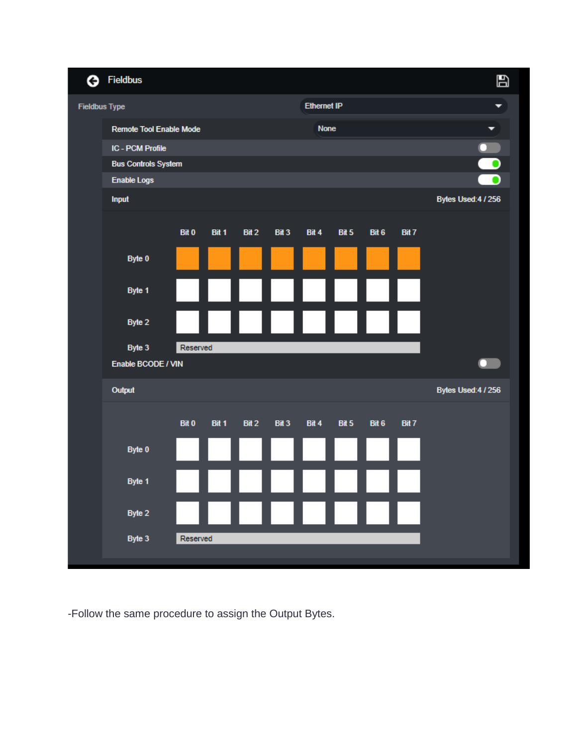

-Follow the same procedure to assign the Output Bytes.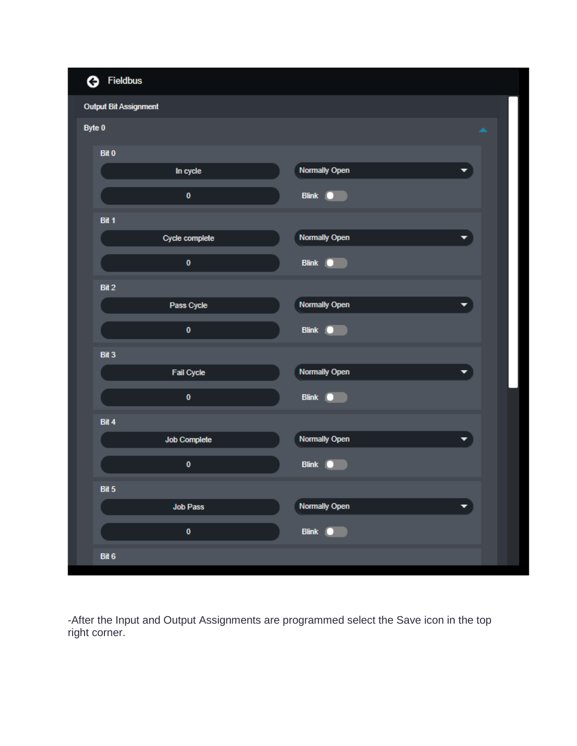| <b>G</b> Fieldbus            |                     |                      |                      |  |
|------------------------------|---------------------|----------------------|----------------------|--|
| <b>Output Bit Assignment</b> |                     |                      |                      |  |
| Byte 0                       |                     |                      | $\blacktriangle$     |  |
| Bit 0                        |                     |                      |                      |  |
|                              | In cycle            | <b>Normally Open</b> | $\blacktriangledown$ |  |
|                              | $\mathbf 0$         | Blink   O            |                      |  |
| Bit 1                        |                     |                      |                      |  |
|                              | Cycle complete      | <b>Normally Open</b> | ▼                    |  |
|                              | $\mathbf 0$         | Blink   O            |                      |  |
| Bit 2                        |                     |                      |                      |  |
|                              | Pass Cycle          | <b>Normally Open</b> | ▼                    |  |
|                              | $\pmb{0}$           | Blink   O            |                      |  |
| Bit 3                        |                     |                      |                      |  |
|                              | <b>Fail Cycle</b>   | <b>Normally Open</b> | ۰                    |  |
|                              | $\mathbf 0$         | Blink   O            |                      |  |
| Bit 4                        |                     |                      |                      |  |
|                              | <b>Job Complete</b> | Normally Open        | $\blacktriangledown$ |  |
|                              | $\pmb{0}$           | <b>Blink</b><br>D    |                      |  |
| Bit 5                        |                     |                      |                      |  |
|                              | <b>Job Pass</b>     | <b>Normally Open</b> | ▼                    |  |
|                              | $\pmb{0}$           | Blink <b>O</b>       |                      |  |
| Bit 6                        |                     |                      |                      |  |

-After the Input and Output Assignments are programmed select the Save icon in the top right corner.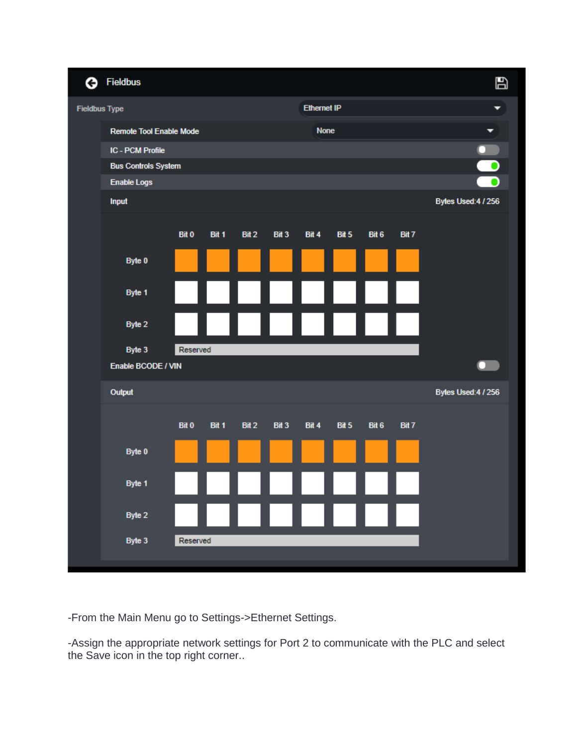

-From the Main Menu go to Settings->Ethernet Settings.

-Assign the appropriate network settings for Port 2 to communicate with the PLC and select the Save icon in the top right corner..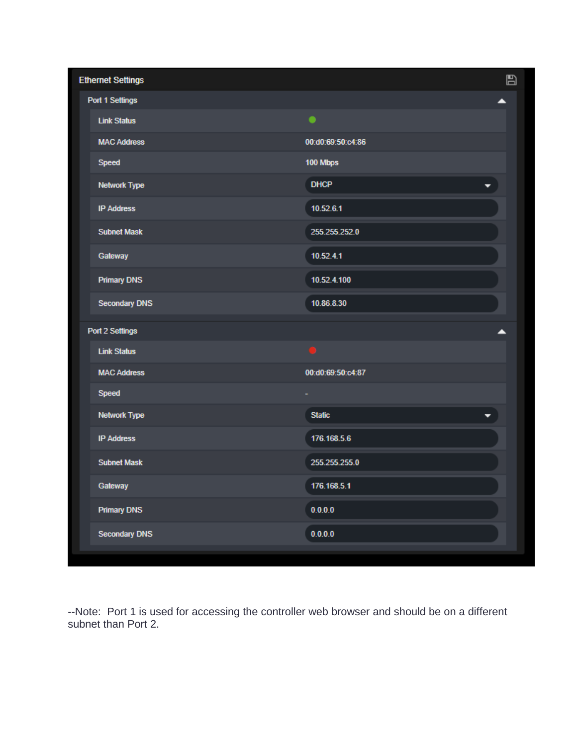| <b>Ethernet Settings</b> |                    | ₿ |
|--------------------------|--------------------|---|
| Port 1 Settings          |                    | ▴ |
| <b>Link Status</b>       | $\bullet$          |   |
| <b>MAC Address</b>       | 00:d0:69:50:c4:86  |   |
| Speed                    | 100 Mbps           |   |
| <b>Network Type</b>      | <b>DHCP</b><br>▼   |   |
| <b>IP Address</b>        | 10.52.6.1          |   |
| <b>Subnet Mask</b>       | 255.255.252.0      |   |
| Gateway                  | 10.52.4.1          |   |
| <b>Primary DNS</b>       | 10.52.4.100        |   |
| <b>Secondary DNS</b>     | 10.86.8.30         |   |
| Port 2 Settings          |                    | ▴ |
| <b>Link Status</b>       |                    |   |
| <b>MAC Address</b>       | 00:d0:69:50:c4:87  |   |
| Speed                    |                    |   |
| <b>Network Type</b>      | <b>Static</b><br>۰ |   |
| <b>IP Address</b>        | 176.168.5.6        |   |
| <b>Subnet Mask</b>       | 255.255.255.0      |   |
| Gateway                  | 176.168.5.1        |   |
| <b>Primary DNS</b>       | 0.0.0.0            |   |
| <b>Secondary DNS</b>     | 0.0.0.0            |   |
|                          |                    |   |

--Note: Port 1 is used for accessing the controller web browser and should be on a different subnet than Port 2.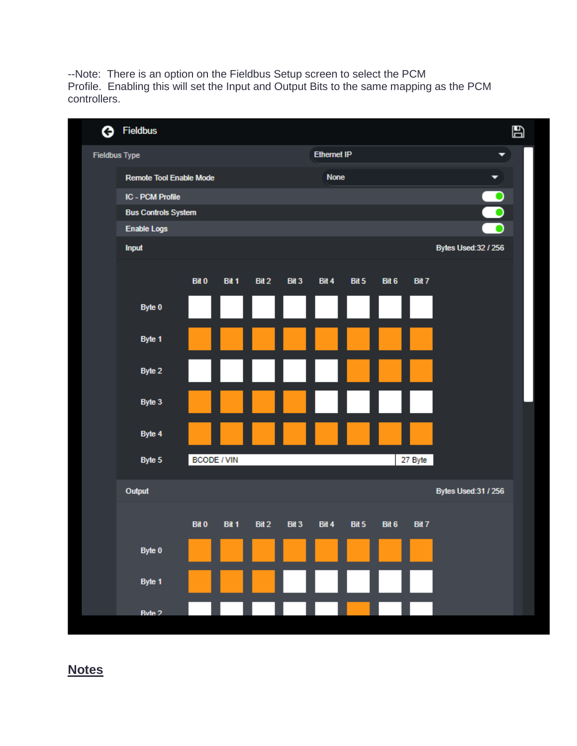--Note: There is an option on the Fieldbus Setup screen to select the PCM Profile. Enabling this will set the Input and Output Bits to the same mapping as the PCM controllers.

| ◶                    | <b>Fieldbus</b>                |                    |       |       |       |       |                    |       |         |                      | E |
|----------------------|--------------------------------|--------------------|-------|-------|-------|-------|--------------------|-------|---------|----------------------|---|
| <b>Fieldbus Type</b> |                                |                    |       |       |       |       | <b>Ethernet IP</b> |       |         | ▼                    |   |
|                      | <b>Remote Tool Enable Mode</b> |                    |       |       |       |       | <b>None</b>        |       |         | ▼                    |   |
|                      | <b>IC - PCM Profile</b>        |                    |       |       |       |       |                    | 88    |         |                      |   |
|                      | <b>Bus Controls System</b>     |                    |       |       |       |       |                    |       |         |                      |   |
|                      | <b>Enable Logs</b>             |                    |       |       |       |       |                    |       |         |                      |   |
|                      | Input                          |                    |       |       |       |       |                    |       |         | Bytes Used: 32 / 256 |   |
|                      |                                | <b>Bit 0</b>       | Bit 1 | Bit 2 | Bit 3 | Bit 4 | Bit 5              | Bit 6 | Bit 7   |                      |   |
|                      | Byte 0                         |                    |       |       |       |       |                    |       |         |                      |   |
|                      | Byte 1                         |                    |       |       |       |       |                    |       |         |                      |   |
|                      | Byte 2                         |                    |       |       |       |       |                    |       |         |                      |   |
|                      | Byte 3                         |                    |       |       |       |       |                    |       |         |                      |   |
|                      | Byte 4                         |                    |       |       |       |       |                    |       |         |                      |   |
|                      | Byte 5                         | <b>BCODE / VIN</b> |       |       |       |       |                    |       | 27 Byte |                      |   |
|                      | Output                         |                    |       |       |       |       |                    |       |         | Bytes Used: 31 / 256 |   |
|                      |                                | <b>Bit 0</b>       | Bit 1 | Bit 2 | Bit 3 | Bit 4 | Bit 5              | Bit 6 | Bit 7   |                      |   |
|                      | Byte 0                         |                    |       |       |       |       |                    |       |         |                      |   |
|                      | Byte 1                         |                    |       |       |       |       |                    |       |         |                      |   |
|                      | Ryte 2                         |                    |       |       |       |       |                    |       |         |                      |   |

**Notes**